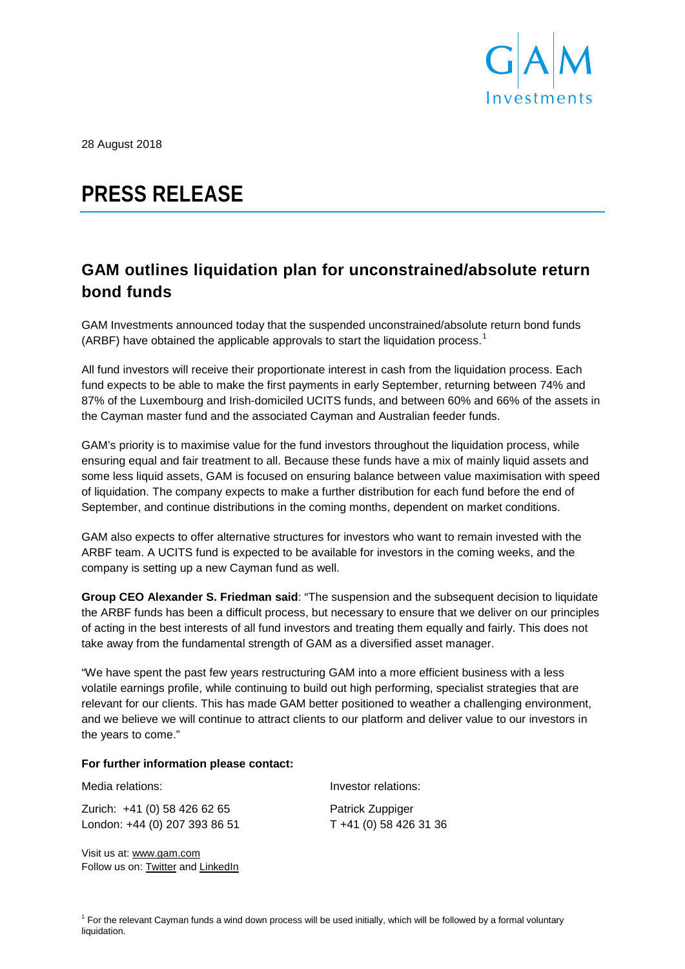

28 August 2018

# **PRESS RELEASE**

## **GAM outlines liquidation plan for unconstrained/absolute return bond funds**

GAM Investments announced today that the suspended unconstrained/absolute return bond funds (ARBF) have obtained the applicable approvals to start the liquidation process.<sup>[1](#page-1-0)</sup>

All fund investors will receive their proportionate interest in cash from the liquidation process. Each fund expects to be able to make the first payments in early September, returning between 74% and 87% of the Luxembourg and Irish-domiciled UCITS funds, and between 60% and 66% of the assets in the Cayman master fund and the associated Cayman and Australian feeder funds.

GAM's priority is to maximise value for the fund investors throughout the liquidation process, while ensuring equal and fair treatment to all. Because these funds have a mix of mainly liquid assets and some less liquid assets, GAM is focused on ensuring balance between value maximisation with speed of liquidation. The company expects to make a further distribution for each fund before the end of September, and continue distributions in the coming months, dependent on market conditions.

GAM also expects to offer alternative structures for investors who want to remain invested with the ARBF team. A UCITS fund is expected to be available for investors in the coming weeks, and the company is setting up a new Cayman fund as well.

**Group CEO Alexander S. Friedman said**: "The suspension and the subsequent decision to liquidate the ARBF funds has been a difficult process, but necessary to ensure that we deliver on our principles of acting in the best interests of all fund investors and treating them equally and fairly. This does not take away from the fundamental strength of GAM as a diversified asset manager.

"We have spent the past few years restructuring GAM into a more efficient business with a less volatile earnings profile, while continuing to build out high performing, specialist strategies that are relevant for our clients. This has made GAM better positioned to weather a challenging environment, and we believe we will continue to attract clients to our platform and deliver value to our investors in the years to come."

### **For further information please contact:**

Zurich: +41 (0) 58 426 62 65 Patrick Zuppiger London: +44 (0) 207 393 86 51 T +41 (0) 58 426 31 36

Visit us at: [www.gam.com](http://www.gam.com/) Follow us on[: Twitter](https://twitter.com/gaminsights) and [LinkedIn](https://www.linkedin.com/company/gam?trk=company_logo)

Media relations: Investor relations:

 $<sup>1</sup>$  For the relevant Cayman funds a wind down process will be used initially, which will be followed by a formal voluntary</sup> liquidation.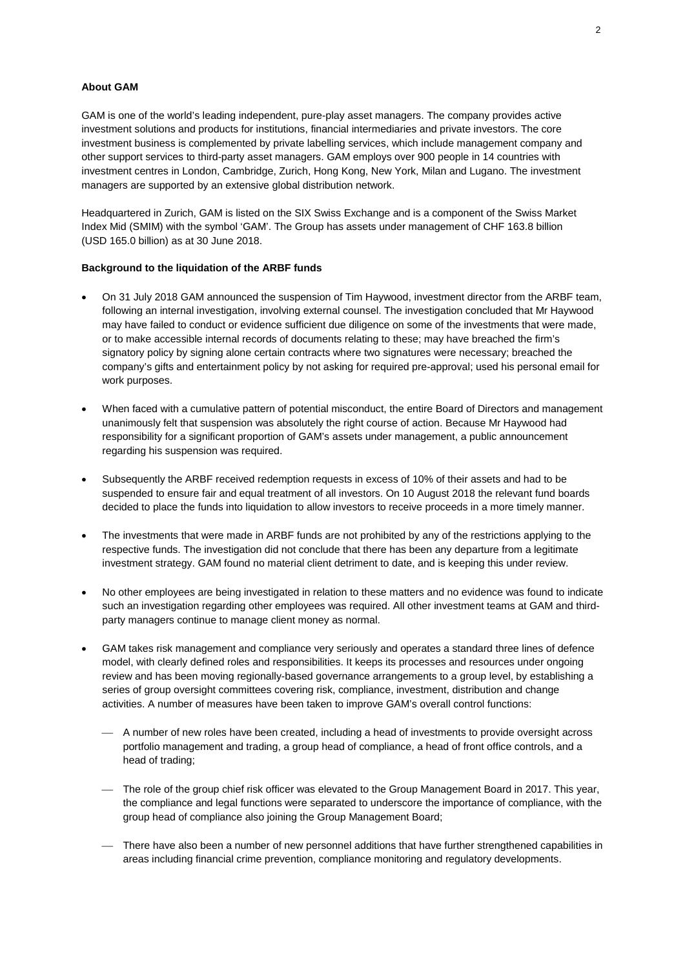#### **About GAM**

GAM is one of the world's leading independent, pure-play asset managers. The company provides active investment solutions and products for institutions, financial intermediaries and private investors. The core investment business is complemented by private labelling services, which include management company and other support services to third-party asset managers. GAM employs over 900 people in 14 countries with investment centres in London, Cambridge, Zurich, Hong Kong, New York, Milan and Lugano. The investment managers are supported by an extensive global distribution network.

Headquartered in Zurich, GAM is listed on the SIX Swiss Exchange and is a component of the Swiss Market Index Mid (SMIM) with the symbol 'GAM'. The Group has assets under management of CHF 163.8 billion (USD 165.0 billion) as at 30 June 2018.

#### **Background to the liquidation of the ARBF funds**

- On 31 July 2018 GAM announced the suspension of Tim Haywood, investment director from the ARBF team, following an internal investigation, involving external counsel. The investigation concluded that Mr Haywood may have failed to conduct or evidence sufficient due diligence on some of the investments that were made, or to make accessible internal records of documents relating to these; may have breached the firm's signatory policy by signing alone certain contracts where two signatures were necessary; breached the company's gifts and entertainment policy by not asking for required pre-approval; used his personal email for work purposes.
- When faced with a cumulative pattern of potential misconduct, the entire Board of Directors and management unanimously felt that suspension was absolutely the right course of action. Because Mr Haywood had responsibility for a significant proportion of GAM's assets under management, a public announcement regarding his suspension was required.
- Subsequently the ARBF received redemption requests in excess of 10% of their assets and had to be suspended to ensure fair and equal treatment of all investors. On 10 August 2018 the relevant fund boards decided to place the funds into liquidation to allow investors to receive proceeds in a more timely manner.
- The investments that were made in ARBF funds are not prohibited by any of the restrictions applying to the respective funds. The investigation did not conclude that there has been any departure from a legitimate investment strategy. GAM found no material client detriment to date, and is keeping this under review.
- No other employees are being investigated in relation to these matters and no evidence was found to indicate such an investigation regarding other employees was required. All other investment teams at GAM and thirdparty managers continue to manage client money as normal.
- <span id="page-1-0"></span>• GAM takes risk management and compliance very seriously and operates a standard three lines of defence model, with clearly defined roles and responsibilities. It keeps its processes and resources under ongoing review and has been moving regionally-based governance arrangements to a group level, by establishing a series of group oversight committees covering risk, compliance, investment, distribution and change activities. A number of measures have been taken to improve GAM's overall control functions:
	- A number of new roles have been created, including a head of investments to provide oversight across portfolio management and trading, a group head of compliance, a head of front office controls, and a head of trading;
	- The role of the group chief risk officer was elevated to the Group Management Board in 2017. This year, the compliance and legal functions were separated to underscore the importance of compliance, with the group head of compliance also joining the Group Management Board;
	- There have also been a number of new personnel additions that have further strengthened capabilities in areas including financial crime prevention, compliance monitoring and regulatory developments.